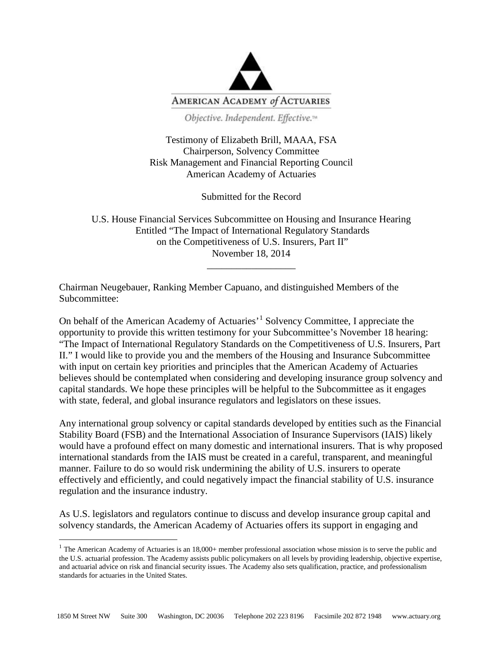

Objective. Independent. Effective.™

Testimony of Elizabeth Brill, MAAA, FSA Chairperson, Solvency Committee Risk Management and Financial Reporting Council American Academy of Actuaries

Submitted for the Record

U.S. House Financial Services Subcommittee on Housing and Insurance Hearing Entitled "The Impact of International Regulatory Standards on the Competitiveness of U.S. Insurers, Part II" November 18, 2014

\_\_\_\_\_\_\_\_\_\_\_\_\_\_\_\_\_\_

Chairman Neugebauer, Ranking Member Capuano, and distinguished Members of the Subcommittee:

On behalf of the American Academy of Actuaries'[1](#page-0-0) Solvency Committee, I appreciate the opportunity to provide this written testimony for your Subcommittee's November 18 hearing: "The Impact of International Regulatory Standards on the Competitiveness of U.S. Insurers, Part II." I would like to provide you and the members of the Housing and Insurance Subcommittee with input on certain key priorities and principles that the American Academy of Actuaries believes should be contemplated when considering and developing insurance group solvency and capital standards. We hope these principles will be helpful to the Subcommittee as it engages with state, federal, and global insurance regulators and legislators on these issues.

Any international group solvency or capital standards developed by entities such as the Financial Stability Board (FSB) and the International Association of Insurance Supervisors (IAIS) likely would have a profound effect on many domestic and international insurers. That is why proposed international standards from the IAIS must be created in a careful, transparent, and meaningful manner. Failure to do so would risk undermining the ability of U.S. insurers to operate effectively and efficiently, and could negatively impact the financial stability of U.S. insurance regulation and the insurance industry.

As U.S. legislators and regulators continue to discuss and develop insurance group capital and solvency standards, the American Academy of Actuaries offers its support in engaging and

<span id="page-0-0"></span> $1$  The American Academy of Actuaries is an 18,000+ member professional association whose mission is to serve the public and the U.S. actuarial profession. The Academy assists public policymakers on all levels by providing leadership, objective expertise, and actuarial advice on risk and financial security issues. The Academy also sets qualification, practice, and professionalism standards for actuaries in the United States.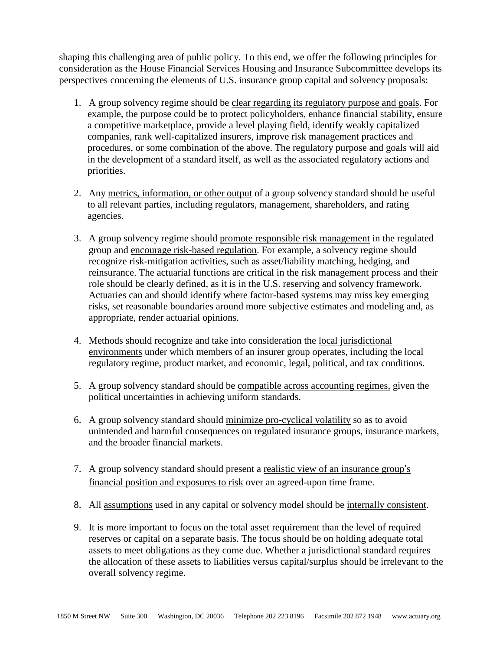shaping this challenging area of public policy. To this end, we offer the following principles for consideration as the House Financial Services Housing and Insurance Subcommittee develops its perspectives concerning the elements of U.S. insurance group capital and solvency proposals:

- 1. A group solvency regime should be clear regarding its regulatory purpose and goals. For example, the purpose could be to protect policyholders, enhance financial stability, ensure a competitive marketplace, provide a level playing field, identify weakly capitalized companies, rank well-capitalized insurers, improve risk management practices and procedures, or some combination of the above. The regulatory purpose and goals will aid in the development of a standard itself, as well as the associated regulatory actions and priorities.
- 2. Any metrics, information, or other output of a group solvency standard should be useful to all relevant parties, including regulators, management, shareholders, and rating agencies.
- 3. A group solvency regime should promote responsible risk management in the regulated group and encourage risk-based regulation. For example, a solvency regime should recognize risk-mitigation activities, such as asset/liability matching, hedging, and reinsurance. The actuarial functions are critical in the risk management process and their role should be clearly defined, as it is in the U.S. reserving and solvency framework. Actuaries can and should identify where factor-based systems may miss key emerging risks, set reasonable boundaries around more subjective estimates and modeling and, as appropriate, render actuarial opinions.
- 4. Methods should recognize and take into consideration the local jurisdictional environments under which members of an insurer group operates, including the local regulatory regime, product market, and economic, legal, political, and tax conditions.
- 5. A group solvency standard should be compatible across accounting regimes, given the political uncertainties in achieving uniform standards.
- 6. A group solvency standard should minimize pro-cyclical volatility so as to avoid unintended and harmful consequences on regulated insurance groups, insurance markets, and the broader financial markets.
- 7. A group solvency standard should present a realistic view of an insurance group's financial position and exposures to risk over an agreed-upon time frame.
- 8. All assumptions used in any capital or solvency model should be internally consistent.
- 9. It is more important to focus on the total asset requirement than the level of required reserves or capital on a separate basis. The focus should be on holding adequate total assets to meet obligations as they come due. Whether a jurisdictional standard requires the allocation of these assets to liabilities versus capital/surplus should be irrelevant to the overall solvency regime.